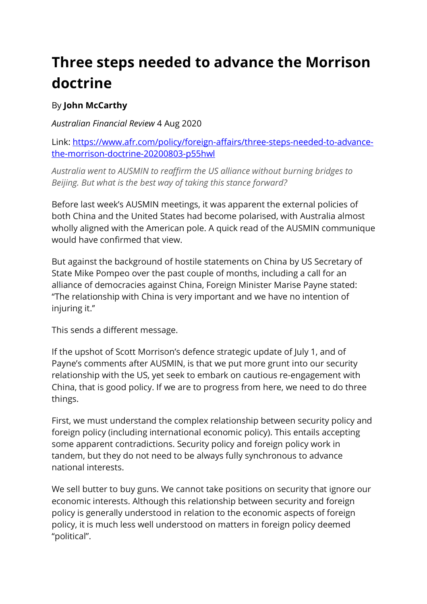## **Three steps needed to advance the Morrison doctrine**

## By **John McCarthy**

*Australian Financial Review* 4 Aug 2020

Link: https://www.afr.com/policy/foreign-affairs/three-steps-needed-to-advancethe-morrison-doctrine-20200803-p55hwl

*Australia went to AUSMIN to reaffirm the US alliance without burning bridges to Beijing. But what is the best way of taking this stance forward?*

Before last week's AUSMIN meetings, it was apparent the external policies of both China and the United States had become polarised, with Australia almost wholly aligned with the American pole. A quick read of the AUSMIN communique would have confirmed that view.

But against the background of hostile statements on China by US Secretary of State Mike Pompeo over the past couple of months, including a call for an alliance of democracies against China, Foreign Minister Marise Payne stated: ''The relationship with China is very important and we have no intention of injuring it.''

This sends a different message.

If the upshot of Scott Morrison's defence strategic update of July 1, and of Payne's comments after AUSMIN, is that we put more grunt into our security relationship with the US, yet seek to embark on cautious re-engagement with China, that is good policy. If we are to progress from here, we need to do three things.

First, we must understand the complex relationship between security policy and foreign policy (including international economic policy). This entails accepting some apparent contradictions. Security policy and foreign policy work in tandem, but they do not need to be always fully synchronous to advance national interests.

We sell butter to buy guns. We cannot take positions on security that ignore our economic interests. Although this relationship between security and foreign policy is generally understood in relation to the economic aspects of foreign policy, it is much less well understood on matters in foreign policy deemed ''political''.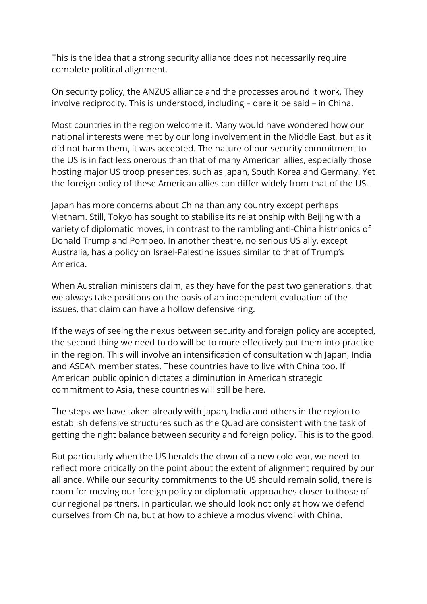This is the idea that a strong security alliance does not necessarily require complete political alignment.

On security policy, the ANZUS alliance and the processes around it work. They involve reciprocity. This is understood, including – dare it be said – in China.

Most countries in the region welcome it. Many would have wondered how our national interests were met by our long involvement in the Middle East, but as it did not harm them, it was accepted. The nature of our security commitment to the US is in fact less onerous than that of many American allies, especially those hosting major US troop presences, such as Japan, South Korea and Germany. Yet the foreign policy of these American allies can differ widely from that of the US.

Japan has more concerns about China than any country except perhaps Vietnam. Still, Tokyo has sought to stabilise its relationship with Beijing with a variety of diplomatic moves, in contrast to the rambling anti-China histrionics of Donald Trump and Pompeo. In another theatre, no serious US ally, except Australia, has a policy on Israel-Palestine issues similar to that of Trump's America.

When Australian ministers claim, as they have for the past two generations, that we always take positions on the basis of an independent evaluation of the issues, that claim can have a hollow defensive ring.

If the ways of seeing the nexus between security and foreign policy are accepted, the second thing we need to do will be to more effectively put them into practice in the region. This will involve an intensification of consultation with Japan, India and ASEAN member states. These countries have to live with China too. If American public opinion dictates a diminution in American strategic commitment to Asia, these countries will still be here.

The steps we have taken already with Japan, India and others in the region to establish defensive structures such as the Quad are consistent with the task of getting the right balance between security and foreign policy. This is to the good.

But particularly when the US heralds the dawn of a new cold war, we need to reflect more critically on the point about the extent of alignment required by our alliance. While our security commitments to the US should remain solid, there is room for moving our foreign policy or diplomatic approaches closer to those of our regional partners. In particular, we should look not only at how we defend ourselves from China, but at how to achieve a modus vivendi with China.